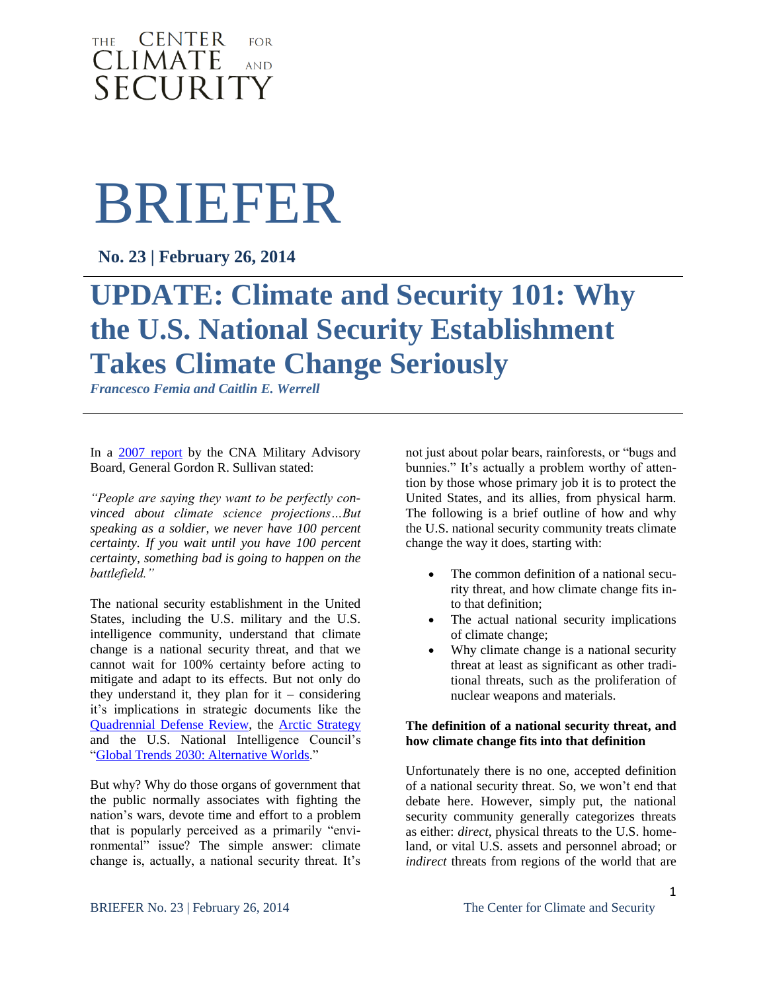### THE **CENTER**  $FOR$ **CLIMATE AND** SECURITY

# BRIEFER

**No. 23 | February 26, 2014**

## **UPDATE: Climate and Security 101: Why the U.S. National Security Establishment Takes Climate Change Seriously**

*Francesco Femia and Caitlin E. Werrell*

In a [2007 report](http://www.cna.org/sites/default/files/news/FlipBooks/Climate%20Change%20web/flipviewerxpress.html) by the CNA Military Advisory Board, General Gordon R. Sullivan stated:

*"People are saying they want to be perfectly convinced about climate science projections…But speaking as a soldier, we never have 100 percent certainty. If you wait until you have 100 percent certainty, something bad is going to happen on the battlefield."*

The national security establishment in the United States, including the U.S. military and the U.S. intelligence community, understand that climate change is a national security threat, and that we cannot wait for 100% certainty before acting to mitigate and adapt to its effects. But not only do they understand it, they plan for  $it$  – considering it's implications in strategic documents like the [Quadrennial Defense Review,](http://freegovinfo.info/node/2894/QuadriennialDefenseReview) the [Arctic Strategy](http://www.defense.gov/pubs/2013_Arctic_Strategy.pdf) and the U.S. National Intelligence Council's ["Global Trends 2030: Alternative Worlds.](http://www.scribd.com/doc/115962650/Global-Trends-2030-Alternative-Worlds)"

But why? Why do those organs of government that the public normally associates with fighting the nation's wars, devote time and effort to a problem that is popularly perceived as a primarily "environmental" issue? The simple answer: climate change is, actually, a national security threat. It's

not just about polar bears, rainforests, or "bugs and bunnies." It's actually a problem worthy of attention by those whose primary job it is to protect the United States, and its allies, from physical harm. The following is a brief outline of how and why the U.S. national security community treats climate change the way it does, starting with:

- The common definition of a national security threat, and how climate change fits into that definition;
- The actual national security implications of climate change;
- Why climate change is a national security threat at least as significant as other traditional threats, such as the proliferation of nuclear weapons and materials.

#### **The definition of a national security threat, and how climate change fits into that definition**

Unfortunately there is no one, accepted definition of a national security threat. So, we won't end that debate here. However, simply put, the national security community generally categorizes threats as either: *direct*, physical threats to the U.S. homeland, or vital U.S. assets and personnel abroad; or *indirect* threats from regions of the world that are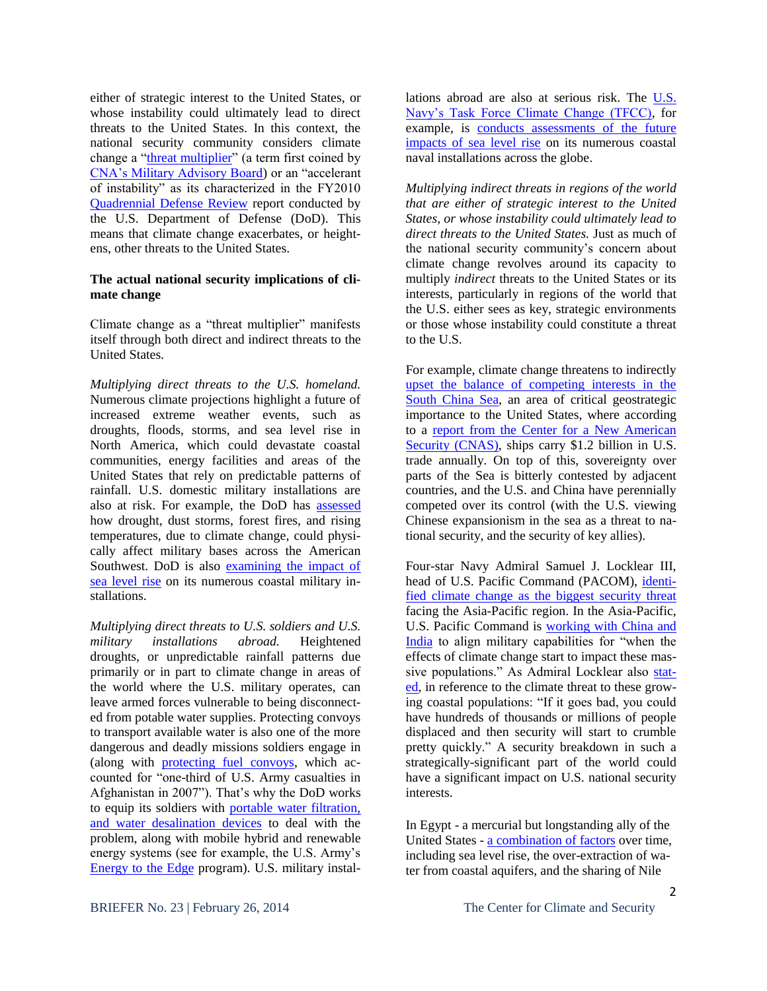either of strategic interest to the United States, or whose instability could ultimately lead to direct threats to the United States. In this context, the national security community considers climate change a ["threat multiplier"](http://www.cna.org/reports/climate) (a term first coined by [CNA's Military Advisory Board\)](http://www.cna.org/sites/default/files/news/FlipBooks/Climate%20Change%20web/flipviewerxpress.html) or an "accelerant of instability" as its characterized in the FY2010 [Quadrennial Defense Review](http://www.defense.gov/qdr/images/QDR_as_of_12Feb10_1000.pdf) report conducted by the U.S. Department of Defense (DoD). This means that climate change exacerbates, or heightens, other threats to the United States.

#### **The actual national security implications of climate change**

Climate change as a "threat multiplier" manifests itself through both direct and indirect threats to the United States.

*Multiplying direct threats to the U.S. homeland.*  Numerous climate projections highlight a future of increased extreme weather events, such as droughts, floods, storms, and sea level rise in North America, which could devastate coastal communities, energy facilities and areas of the United States that rely on predictable patterns of rainfall. U.S. domestic military installations are also at risk. For example, the DoD has [assessed](http://azstarnet.com/news/local/wildfire/military-taps-ua-expertise-to-cope-with-impact-of-climate/article_22e62435-a227-568d-9db9-3ba40f9ce8f5.html#ixzz1oGdBhrGm) how drought, dust storms, forest fires, and rising temperatures, due to climate change, could physically affect military bases across the American Southwest. DoD is also [examining the impact of](http://www.serdp.org/Featured-Initiatives/Climate-Change-and-Impacts-of-Sea-Level-Rise/%28language%29/eng-US)  [sea level rise](http://www.serdp.org/Featured-Initiatives/Climate-Change-and-Impacts-of-Sea-Level-Rise/%28language%29/eng-US) on its numerous coastal military installations.

*Multiplying direct threats to U.S. soldiers and U.S. military installations abroad.* Heightened droughts, or unpredictable rainfall patterns due primarily or in part to climate change in areas of the world where the U.S. military operates, can leave armed forces vulnerable to being disconnected from potable water supplies. Protecting convoys to transport available water is also one of the more dangerous and deadly missions soldiers engage in (along with [protecting fuel convoys,](http://www.scientificamerican.com/article.cfm?id=us-military-forges-ahead-with-plans-to-combat-climate-change&WT.mc_id=SA_sharetool_Twitter) which accounted for "one-third of U.S. Army casualties in Afghanistan in 2007"). That's why the DoD works to equip its soldiers with [portable water filtration,](http://www.sbir.gov/sbirsearch/detail/313882)  [and water desalination devices](http://www.sbir.gov/sbirsearch/detail/313882) to deal with the problem, along with mobile hybrid and renewable energy systems (see for example, the U.S. Army's [Energy to the Edge](http://www.army.mil/article/62936/) program). U.S. military installations abroad are also at serious risk. The [U.S.](http://www.navy.mil/search/display.asp?story_id=53562)  [Navy's Task Force Climate Change \(TFCC\),](http://www.navy.mil/search/display.asp?story_id=53562) for example, is [conducts assessments of the future](http://greenfleet.dodlive.mil/climate-change/)  [impacts of sea level rise](http://greenfleet.dodlive.mil/climate-change/) on its numerous coastal naval installations across the globe.

*Multiplying indirect threats in regions of the world that are either of strategic interest to the United States, or whose instability could ultimately lead to direct threats to the United States.* Just as much of the national security community's concern about climate change revolves around its capacity to multiply *indirect* threats to the United States or its interests, particularly in regions of the world that the U.S. either sees as key, strategic environments or those whose instability could constitute a threat to the U.S.

For example, climate change threatens to indirectly [upset the balance of competing interests in the](http://climateandsecurity.org/2012/01/09/new-report-the-united-states-the-south-china-sea-natural-resources-and-climate-change/)  [South China Sea,](http://climateandsecurity.org/2012/01/09/new-report-the-united-states-the-south-china-sea-natural-resources-and-climate-change/) an area of critical geostrategic importance to the United States, where according to a [report from the Center for a New American](http://www.cnas.org/files/documents/publications/CNAS_CooperationFromStrength_Cronin.pdf)  [Security \(CNAS\),](http://www.cnas.org/files/documents/publications/CNAS_CooperationFromStrength_Cronin.pdf) ships carry \$1.2 billion in U.S. trade annually. On top of this, sovereignty over parts of the Sea is bitterly contested by adjacent countries, and the U.S. and China have perennially competed over its control (with the U.S. viewing Chinese expansionism in the sea as a threat to national security, and the security of key allies).

Four-star Navy Admiral Samuel J. Locklear III, head of U.S. Pacific Command (PACOM), [identi](http://climateandsecurity.org/2013/03/07/uspacoms-admiral-locklear-climate-and-security-in-the-asia-pacific/)[fied climate change as the biggest security threat](http://climateandsecurity.org/2013/03/07/uspacoms-admiral-locklear-climate-and-security-in-the-asia-pacific/) facing the Asia-Pacific region. In the Asia-Pacific, U.S. Pacific Command is [working with China and](http://www.bostonglobe.com/news/nation/2013/03/09/admiral-samuel-locklear-commander-pacific-forces-warns-that-climate-change-top-threat/BHdPVCLrWEMxRe9IXJZcHL/story.html)  [India](http://www.bostonglobe.com/news/nation/2013/03/09/admiral-samuel-locklear-commander-pacific-forces-warns-that-climate-change-top-threat/BHdPVCLrWEMxRe9IXJZcHL/story.html) to align military capabilities for "when the effects of climate change start to impact these massive populations." As Admiral Locklear also [stat](http://www.bostonglobe.com/news/nation/2013/03/09/admiral-samuel-locklear-commander-pacific-forces-warns-that-climate-change-top-threat/BHdPVCLrWEMxRe9IXJZcHL/story.html)[ed,](http://www.bostonglobe.com/news/nation/2013/03/09/admiral-samuel-locklear-commander-pacific-forces-warns-that-climate-change-top-threat/BHdPVCLrWEMxRe9IXJZcHL/story.html) in reference to the climate threat to these growing coastal populations: "If it goes bad, you could have hundreds of thousands or millions of people displaced and then security will start to crumble pretty quickly." A security breakdown in such a strategically-significant part of the world could have a significant impact on U.S. national security interests.

In Egypt - a mercurial but longstanding ally of the United States - [a combination of factors](http://climateandsecurity.files.wordpress.com/2012/04/egypt_s-political-transition-and-the-rising-sea-an-opportunity-for-reform_briefer-07.pdf) over time, including sea level rise, the over-extraction of water from coastal aquifers, and the sharing of Nile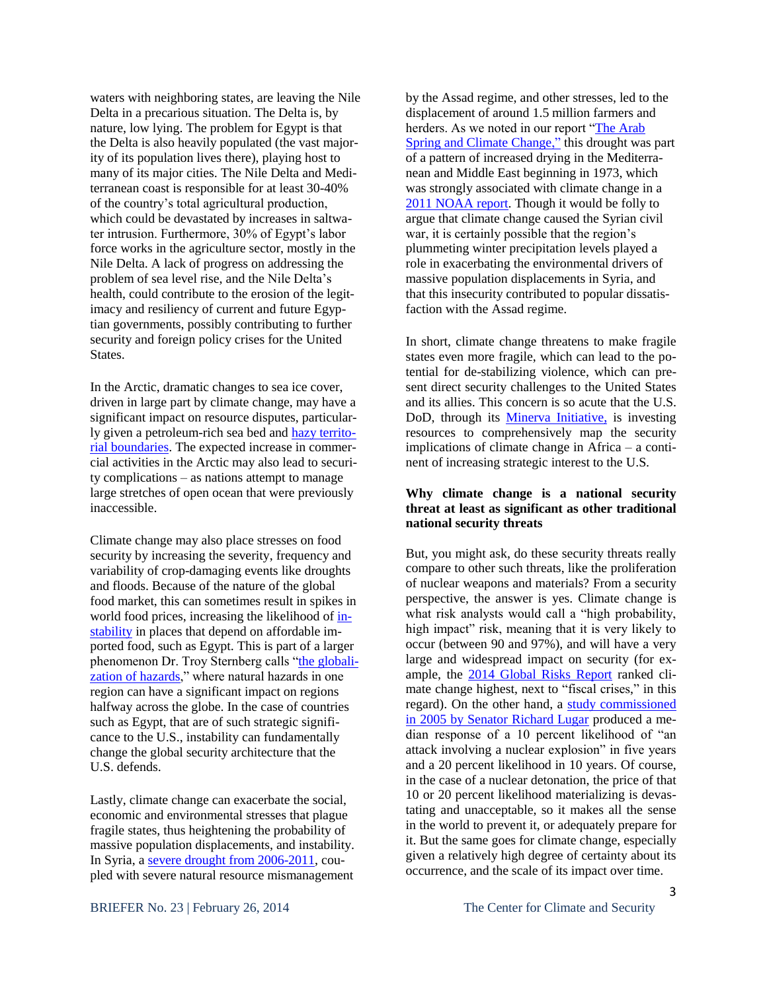waters with neighboring states, are leaving the Nile Delta in a precarious situation. The Delta is, by nature, low lying. The problem for Egypt is that the Delta is also heavily populated (the vast majority of its population lives there), playing host to many of its major cities. The Nile Delta and Mediterranean coast is responsible for at least 30-40% of the country's total agricultural production, which could be devastated by increases in saltwater intrusion. Furthermore, 30% of Egypt's labor force works in the agriculture sector, mostly in the Nile Delta. A lack of progress on addressing the problem of sea level rise, and the Nile Delta's health, could contribute to the erosion of the legitimacy and resiliency of current and future Egyptian governments, possibly contributing to further security and foreign policy crises for the United States.

In the Arctic, dramatic changes to sea ice cover, driven in large part by climate change, may have a significant impact on resource disputes, particularly given a petroleum-rich sea bed an[d hazy territo](http://www.law.fsu.edu/journals/transnational/vol18_2/isted.pdf)[rial boundaries.](http://www.law.fsu.edu/journals/transnational/vol18_2/isted.pdf) The expected increase in commercial activities in the Arctic may also lead to security complications – as nations attempt to manage large stretches of open ocean that were previously inaccessible.

Climate change may also place stresses on food security by increasing the severity, frequency and variability of crop-damaging events like droughts and floods. Because of the nature of the global food market, this can sometimes result in spikes in world food prices, increasing the likelihood of [in](http://www.voanews.com/content/us-drought-could-trigger-higher-food-prices/1381476.html)[stability](http://www.voanews.com/content/us-drought-could-trigger-higher-food-prices/1381476.html) in places that depend on affordable imported food, such as Egypt. This is part of a larger phenomenon Dr. Troy Sternberg calls ["the globali](http://www.nature.com/nature/journal/v472/n7342/full/472169d.html)[zation of hazards,](http://www.nature.com/nature/journal/v472/n7342/full/472169d.html)" where natural hazards in one region can have a significant impact on regions halfway across the globe. In the case of countries such as Egypt, that are of such strategic significance to the U.S., instability can fundamentally change the global security architecture that the U.S. defends.

Lastly, climate change can exacerbate the social, economic and environmental stresses that plague fragile states, thus heightening the probability of massive population displacements, and instability. In Syria, a severe drought [from 2006-2011,](http://climateandsecurity.org/2012/02/29/syria-climate-change-drought-and-social-unrest/) coupled with severe natural resource mismanagement

by the Assad regime, and other stresses, led to the displacement of around 1.5 million farmers and herders. As we noted in our report ["The Arab](http://climateandsecurity.files.wordpress.com/2012/04/climatechangearabspring-ccs-cap-stimson.pdf)  [Spring and Climate Change,](http://climateandsecurity.files.wordpress.com/2012/04/climatechangearabspring-ccs-cap-stimson.pdf)" this drought was part of a pattern of increased drying in the Mediterranean and Middle East beginning in 1973, which was strongly associated with climate change in a [2011 NOAA report.](http://thinkprogress.org/romm/2011/10/27/355639/noaa-climate-change-mediterranean-droughts/) Though it would be folly to argue that climate change caused the Syrian civil war, it is certainly possible that the region's plummeting winter precipitation levels played a role in exacerbating the environmental drivers of massive population displacements in Syria, and that this insecurity contributed to popular dissatisfaction with the Assad regime.

In short, climate change threatens to make fragile states even more fragile, which can lead to the potential for de-stabilizing violence, which can present direct security challenges to the United States and its allies. This concern is so acute that the U.S. DoD, through its [Minerva Initiative,](http://www.fastcoexist.com/1679682/us-defense-department-maps-future-climate-turmoil-in-africa) is investing resources to comprehensively map the security implications of climate change in Africa – a continent of increasing strategic interest to the U.S.

#### **Why climate change is a national security threat at least as significant as other traditional national security threats**

But, you might ask, do these security threats really compare to other such threats, like the proliferation of nuclear weapons and materials? From a security perspective, the answer is yes. Climate change is what risk analysts would call a "high probability, high impact" risk, meaning that it is very likely to occur (between 90 and 97%), and will have a very large and widespread impact on security (for example, the 2014 [Global](http://www3.weforum.org/docs/WEF_GlobalRisks_Report_2014.pdf) Risks Report ranked climate change highest, next to "fiscal crises," in this regard). On the other hand, a [study commissioned](http://www.fas.org/irp/threat/lugar_survey.pdf)  [in 2005 by Senator Richard Lugar](http://www.fas.org/irp/threat/lugar_survey.pdf) produced a median response of a 10 percent likelihood of "an attack involving a nuclear explosion" in five years and a 20 percent likelihood in 10 years. Of course, in the case of a nuclear detonation, the price of that 10 or 20 percent likelihood materializing is devastating and unacceptable, so it makes all the sense in the world to prevent it, or adequately prepare for it. But the same goes for climate change, especially given a relatively high degree of certainty about its occurrence, and the scale of its impact over time.